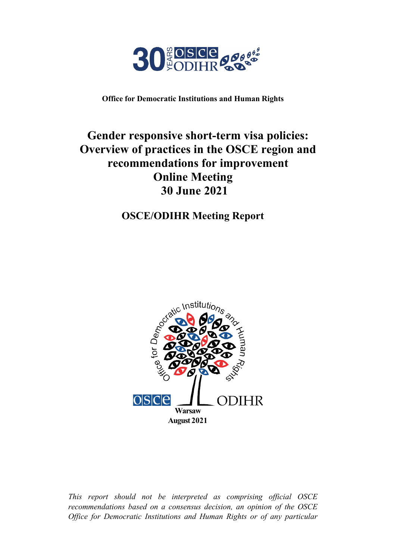

**Office for Democratic Institutions and Human Rights**

# **Gender responsive short-term visa policies: Overview of practices in the OSCE region and recommendations for improvement Online Meeting 30 June 2021**

## **OSCE/ODIHR Meeting Report**



*This report should not be interpreted as comprising official OSCE recommendations based on a consensus decision, an opinion of the OSCE Office for Democratic Institutions and Human Rights or of any particular*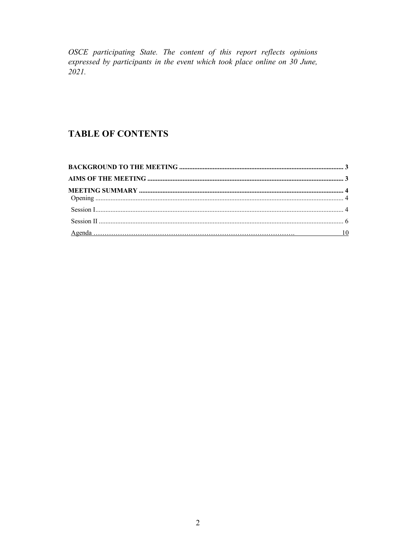OSCE participating State. The content of this report reflects opinions expressed by participants in the event which took place online on 30 June,  $2021.$ 

### **TABLE OF CONTENTS**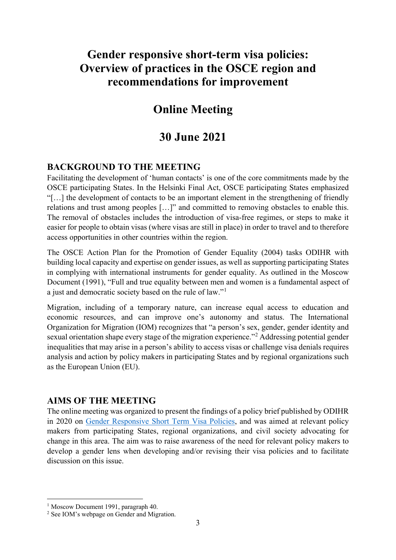# **Gender responsive short-term visa policies: Overview of practices in the OSCE region and recommendations for improvement**

## **Online Meeting**

## **30 June 2021**

### <span id="page-2-0"></span>**BACKGROUND TO THE MEETING**

Facilitating the development of 'human contacts' is one of the core commitments made by the OSCE participating States. In the Helsinki Final Act, OSCE participating States emphasized "[…] the development of contacts to be an important element in the strengthening of friendly relations and trust among peoples […]" and committed to removing obstacles to enable this. The removal of obstacles includes the introduction of visa-free regimes, or steps to make it easier for people to obtain visas (where visas are still in place) in order to travel and to therefore access opportunities in other countries within the region.

The OSCE Action Plan for the Promotion of Gender Equality (2004) tasks ODIHR with building local capacity and expertise on gender issues, as well as supporting participating States in complying with international instruments for gender equality. As outlined in the Moscow Document (1991), "Full and true equality between men and women is a fundamental aspect of a just and democratic society based on the rule of law."[1](#page-2-2)

Migration, including of a temporary nature, can increase equal access to education and economic resources, and can improve one's autonomy and status. The International Organization for Migration (IOM) recognizes that "a person's sex, gender, gender identity and sexual orientation shape every stage of the migration experience."[2](#page-2-3) Addressing potential gender inequalities that may arise in a person's ability to access visas or challenge visa denials requires analysis and action by policy makers in participating States and by regional organizations such as the European Union (EU).

### <span id="page-2-1"></span>**AIMS OF THE MEETING**

The online meeting was organized to present the findings of a policy brief published by ODIHR in 2020 on [Gender Responsive Short Term Visa Policies,](https://www.osce.org/odihr/474183) and was aimed at relevant policy makers from participating States, regional organizations, and civil society advocating for change in this area. The aim was to raise awareness of the need for relevant policy makers to develop a gender lens when developing and/or revising their visa policies and to facilitate discussion on this issue.

<sup>&</sup>lt;sup>1</sup> Moscow Document 1991, paragraph 40.

<span id="page-2-3"></span><span id="page-2-2"></span><sup>2</sup> See IOM's webpage on Gender and Migration.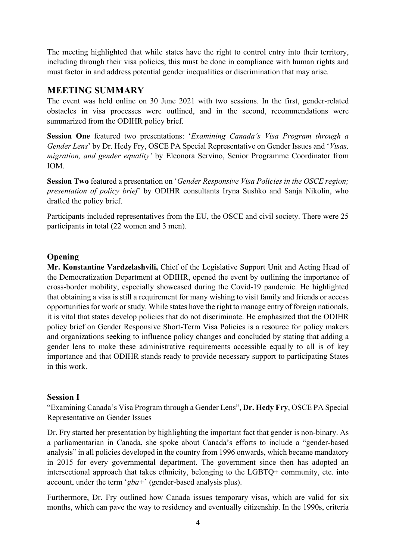The meeting highlighted that while states have the right to control entry into their territory, including through their visa policies, this must be done in compliance with human rights and must factor in and address potential gender inequalities or discrimination that may arise.

## <span id="page-3-0"></span>**MEETING SUMMARY**

The event was held online on 30 June 2021 with two sessions. In the first, gender-related obstacles in visa processes were outlined, and in the second, recommendations were summarized from the ODIHR policy brief.

**Session One** featured two presentations: '*Examining Canada's Visa Program through a Gender Lens*' by Dr. Hedy Fry, OSCE PA Special Representative on Gender Issues and '*Visas, migration, and gender equality'* by Eleonora Servino, Senior Programme Coordinator from IOM.

**Session Two** featured a presentation on '*Gender Responsive Visa Policies in the OSCE region; presentation of policy brief*' by ODIHR consultants Iryna Sushko and Sanja Nikolin, who drafted the policy brief.

Participants included representatives from the EU, the OSCE and civil society. There were 25 participants in total (22 women and 3 men).

### <span id="page-3-1"></span>**Opening**

**Mr. Konstantine Vardzelashvili,** Chief of the Legislative Support Unit and Acting Head of the Democratization Department at ODIHR, opened the event by outlining the importance of cross-border mobility, especially showcased during the Covid-19 pandemic. He highlighted that obtaining a visa is still a requirement for many wishing to visit family and friends or access opportunities for work or study. While states have the right to manage entry of foreign nationals, it is vital that states develop policies that do not discriminate. He emphasized that the ODIHR policy brief on Gender Responsive Short-Term Visa Policies is a resource for policy makers and organizations seeking to influence policy changes and concluded by stating that adding a gender lens to make these administrative requirements accessible equally to all is of key importance and that ODIHR stands ready to provide necessary support to participating States in this work.

### <span id="page-3-2"></span>**Session I**

"Examining Canada's Visa Program through a Gender Lens", **Dr. Hedy Fry**, OSCE PA Special Representative on Gender Issues

Dr. Fry started her presentation by highlighting the important fact that gender is non-binary. As a parliamentarian in Canada, she spoke about Canada's efforts to include a "gender-based analysis" in all policies developed in the country from 1996 onwards, which became mandatory in 2015 for every governmental department. The government since then has adopted an intersectional approach that takes ethnicity, belonging to the LGBTQ+ community, etc. into account, under the term '*gba+*' (gender-based analysis plus).

Furthermore, Dr. Fry outlined how Canada issues temporary visas, which are valid for six months, which can pave the way to residency and eventually citizenship. In the 1990s, criteria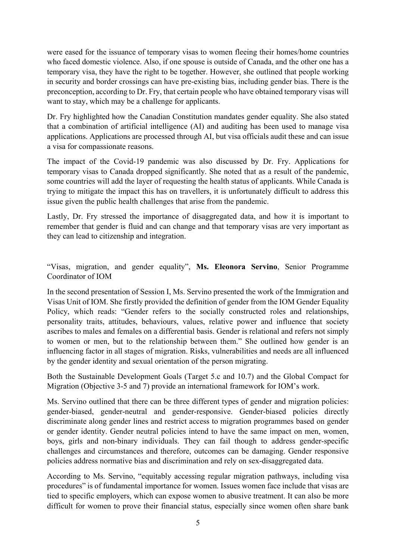were eased for the issuance of temporary visas to women fleeing their homes/home countries who faced domestic violence. Also, if one spouse is outside of Canada, and the other one has a temporary visa, they have the right to be together. However, she outlined that people working in security and border crossings can have pre-existing bias, including gender bias. There is the preconception, according to Dr. Fry, that certain people who have obtained temporary visas will want to stay, which may be a challenge for applicants.

Dr. Fry highlighted how the Canadian Constitution mandates gender equality. She also stated that a combination of artificial intelligence (AI) and auditing has been used to manage visa applications. Applications are processed through AI, but visa officials audit these and can issue a visa for compassionate reasons.

The impact of the Covid-19 pandemic was also discussed by Dr. Fry. Applications for temporary visas to Canada dropped significantly. She noted that as a result of the pandemic, some countries will add the layer of requesting the health status of applicants. While Canada is trying to mitigate the impact this has on travellers, it is unfortunately difficult to address this issue given the public health challenges that arise from the pandemic.

Lastly, Dr. Fry stressed the importance of disaggregated data, and how it is important to remember that gender is fluid and can change and that temporary visas are very important as they can lead to citizenship and integration.

"Visas, migration, and gender equality", **Ms. Eleonora Servino**, Senior Programme Coordinator of IOM

In the second presentation of Session I, Ms. Servino presented the work of the Immigration and Visas Unit of IOM. She firstly provided the definition of gender from the IOM Gender Equality Policy, which reads: "Gender refers to the socially constructed roles and relationships, personality traits, attitudes, behaviours, values, relative power and influence that society ascribes to males and females on a differential basis. Gender is relational and refers not simply to women or men, but to the relationship between them." She outlined how gender is an influencing factor in all stages of migration. Risks, vulnerabilities and needs are all influenced by the gender identity and sexual orientation of the person migrating.

Both the Sustainable Development Goals (Target 5.c and 10.7) and the Global Compact for Migration (Objective 3-5 and 7) provide an international framework for IOM's work.

Ms. Servino outlined that there can be three different types of gender and migration policies: gender-biased, gender-neutral and gender-responsive. Gender-biased policies directly discriminate along gender lines and restrict access to migration programmes based on gender or gender identity. Gender neutral policies intend to have the same impact on men, women, boys, girls and non-binary individuals. They can fail though to address gender-specific challenges and circumstances and therefore, outcomes can be damaging. Gender responsive policies address normative bias and discrimination and rely on sex-disaggregated data.

According to Ms. Servino, "equitably accessing regular migration pathways, including visa procedures" is of fundamental importance for women. Issues women face include that visas are tied to specific employers, which can expose women to abusive treatment. It can also be more difficult for women to prove their financial status, especially since women often share bank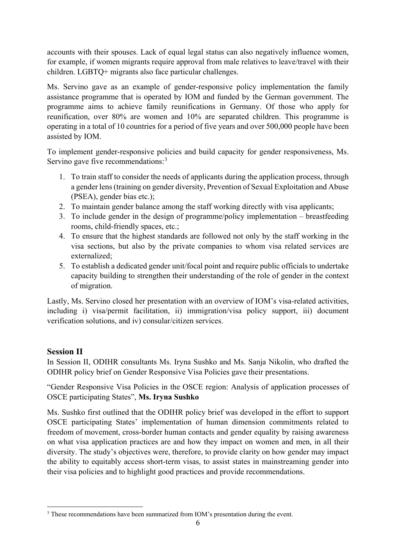accounts with their spouses. Lack of equal legal status can also negatively influence women, for example, if women migrants require approval from male relatives to leave/travel with their children. LGBTQ+ migrants also face particular challenges.

Ms. Servino gave as an example of gender-responsive policy implementation the family assistance programme that is operated by IOM and funded by the German government. The programme aims to achieve family reunifications in Germany. Of those who apply for reunification, over 80% are women and 10% are separated children. This programme is operating in a total of 10 countries for a period of five years and over 500,000 people have been assisted by IOM.

To implement gender-responsive policies and build capacity for gender responsiveness, Ms. Servino gave five recommendations:<sup>[3](#page-5-1)</sup>

- 1. To train staff to consider the needs of applicants during the application process, through a gender lens(training on gender diversity, Prevention of Sexual Exploitation and Abuse (PSEA), gender bias etc.);
- 2. To maintain gender balance among the staff working directly with visa applicants;
- 3. To include gender in the design of programme/policy implementation breastfeeding rooms, child-friendly spaces, etc.;
- 4. To ensure that the highest standards are followed not only by the staff working in the visa sections, but also by the private companies to whom visa related services are externalized;
- 5. To establish a dedicated gender unit/focal point and require public officials to undertake capacity building to strengthen their understanding of the role of gender in the context of migration.

Lastly, Ms. Servino closed her presentation with an overview of IOM's visa-related activities, including i) visa/permit facilitation, ii) immigration/visa policy support, iii) document verification solutions, and iv) consular/citizen services.

## <span id="page-5-0"></span>**Session II**

In Session II, ODIHR consultants Ms. Iryna Sushko and Ms. Sanja Nikolin, who drafted the ODIHR policy brief on Gender Responsive Visa Policies gave their presentations.

"Gender Responsive Visa Policies in the OSCE region: Analysis of application processes of OSCE participating States", **Ms. Iryna Sushko**

Ms. Sushko first outlined that the ODIHR policy brief was developed in the effort to support OSCE participating States' implementation of human dimension commitments related to freedom of movement, cross-border human contacts and gender equality by raising awareness on what visa application practices are and how they impact on women and men, in all their diversity. The study's objectives were, therefore, to provide clarity on how gender may impact the ability to equitably access short-term visas, to assist states in mainstreaming gender into their visa policies and to highlight good practices and provide recommendations.

<span id="page-5-1"></span><sup>&</sup>lt;sup>3</sup> These recommendations have been summarized from IOM's presentation during the event.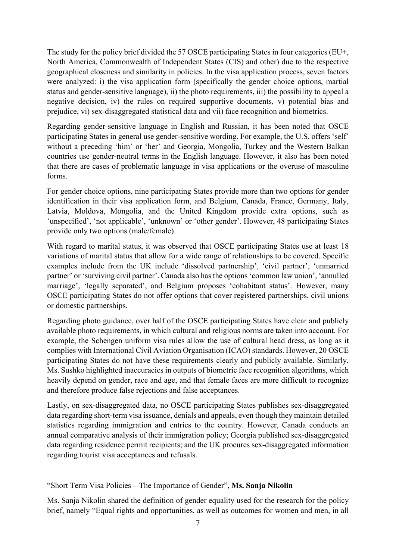The study for the policy brief divided the 57 OSCE participating States in four categories (EU+, North America, Commonwealth of Independent States (CIS) and other) due to the respective geographical closeness and similarity in policies. In the visa application process, seven factors were analyzed: i) the visa application form (specifically the gender choice options, martial status and gender-sensitive language), ii) the photo requirements, iii) the possibility to appeal a negative decision, iv) the rules on required supportive documents, v) potential bias and prejudice, vi) sex-disaggregated statistical data and vii) face recognition and biometrics.

Regarding gender-sensitive language in English and Russian, it has been noted that OSCE participating States in general use gender-sensitive wording. For example, the U.S. offers 'self' without a preceding 'him' or 'her' and Georgia, Mongolia, Turkey and the Western Balkan countries use gender-neutral terms in the English language. However, it also has been noted that there are cases of problematic language in visa applications or the overuse of masculine forms.

For gender choice options, nine participating States provide more than two options for gender identification in their visa application form, and Belgium, Canada, France, Germany, Italy, Latvia, Moldova, Mongolia, and the United Kingdom provide extra options, such as 'unspecified', 'not applicable', 'unknown' or 'other gender'. However, 48 participating States provide only two options (male/female).

With regard to marital status, it was observed that OSCE participating States use at least 18 variations of marital status that allow for a wide range of relationships to be covered. Specific examples include from the UK include 'dissolved partnership', 'civil partner', 'unmarried partner' or 'surviving civil partner'. Canada also hasthe options 'common law union', 'annulled marriage', 'legally separated', and Belgium proposes 'cohabitant status'. However, many OSCE participating States do not offer options that cover registered partnerships, civil unions or domestic partnerships.

Regarding photo guidance, over half of the OSCE participating States have clear and publicly available photo requirements, in which cultural and religious norms are taken into account. For example, the Schengen uniform visa rules allow the use of cultural head dress, as long as it complies with International Civil Aviation Organisation (ICAO) standards. However, 20 OSCE participating States do not have these requirements clearly and publicly available. Similarly, Ms. Sushko highlighted inaccuracies in outputs of biometric face recognition algorithms, which heavily depend on gender, race and age, and that female faces are more difficult to recognize and therefore produce false rejections and false acceptances.

Lastly, on sex-disaggregated data, no OSCE participating States publishes sex-disaggregated data regarding short-term visa issuance, denials and appeals, even though they maintain detailed statistics regarding immigration and entries to the country. However, Canada conducts an annual comparative analysis of their immigration policy; Georgia published sex-disaggregated data regarding residence permit recipients; and the UK procures sex-disaggregated information regarding tourist visa acceptances and refusals.

### "Short Term Visa Policies – The Importance of Gender", **Ms. Sanja Nikolin**

Ms. Sanja Nikolin shared the definition of gender equality used for the research for the policy brief, namely "Equal rights and opportunities, as well as outcomes for women and men, in all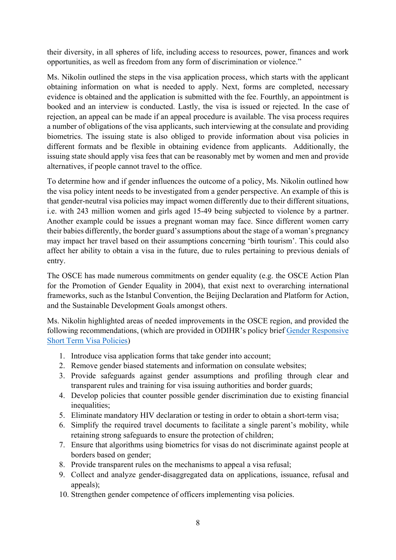their diversity, in all spheres of life, including access to resources, power, finances and work opportunities, as well as freedom from any form of discrimination or violence."

Ms. Nikolin outlined the steps in the visa application process, which starts with the applicant obtaining information on what is needed to apply. Next, forms are completed, necessary evidence is obtained and the application is submitted with the fee. Fourthly, an appointment is booked and an interview is conducted. Lastly, the visa is issued or rejected. In the case of rejection, an appeal can be made if an appeal procedure is available. The visa process requires a number of obligations of the visa applicants, such interviewing at the consulate and providing biometrics. The issuing state is also obliged to provide information about visa policies in different formats and be flexible in obtaining evidence from applicants. Additionally, the issuing state should apply visa fees that can be reasonably met by women and men and provide alternatives, if people cannot travel to the office.

To determine how and if gender influences the outcome of a policy, Ms. Nikolin outlined how the visa policy intent needs to be investigated from a gender perspective. An example of this is that gender-neutral visa policies may impact women differently due to their different situations, i.e. with 243 million women and girls aged 15-49 being subjected to violence by a partner. Another example could be issues a pregnant woman may face. Since different women carry their babies differently, the border guard's assumptions about the stage of a woman's pregnancy may impact her travel based on their assumptions concerning 'birth tourism'. This could also affect her ability to obtain a visa in the future, due to rules pertaining to previous denials of entry.

The OSCE has made numerous commitments on gender equality (e.g. the OSCE Action Plan for the Promotion of Gender Equality in 2004), that exist next to overarching international frameworks, such as the Istanbul Convention, the Beijing Declaration and Platform for Action, and the Sustainable Development Goals amongst others.

Ms. Nikolin highlighted areas of needed improvements in the OSCE region, and provided the following recommendations, (which are provided in ODIHR's policy brief [Gender Responsive](https://www.osce.org/odihr/474183)  [Short Term Visa Policies\)](https://www.osce.org/odihr/474183)

- 1. Introduce visa application forms that take gender into account;
- 2. Remove gender biased statements and information on consulate websites;
- 3. Provide safeguards against gender assumptions and profiling through clear and transparent rules and training for visa issuing authorities and border guards;
- 4. Develop policies that counter possible gender discrimination due to existing financial inequalities;
- 5. Eliminate mandatory HIV declaration or testing in order to obtain a short-term visa;
- 6. Simplify the required travel documents to facilitate a single parent's mobility, while retaining strong safeguards to ensure the protection of children;
- 7. Ensure that algorithms using biometrics for visas do not discriminate against people at borders based on gender;
- 8. Provide transparent rules on the mechanisms to appeal a visa refusal;
- 9. Collect and analyze gender-disaggregated data on applications, issuance, refusal and appeals):
- 10. Strengthen gender competence of officers implementing visa policies.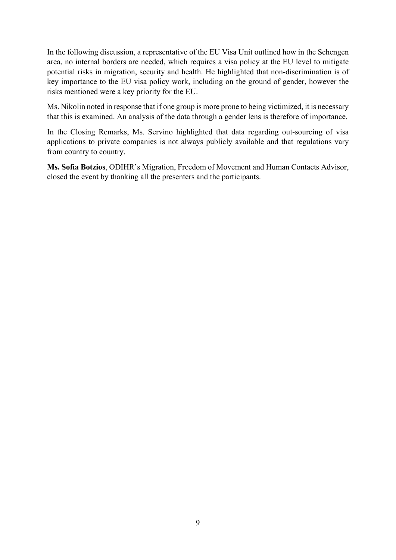In the following discussion, a representative of the EU Visa Unit outlined how in the Schengen area, no internal borders are needed, which requires a visa policy at the EU level to mitigate potential risks in migration, security and health. He highlighted that non-discrimination is of key importance to the EU visa policy work, including on the ground of gender, however the risks mentioned were a key priority for the EU.

Ms. Nikolin noted in response that if one group is more prone to being victimized, it is necessary that this is examined. An analysis of the data through a gender lens is therefore of importance.

In the Closing Remarks, Ms. Servino highlighted that data regarding out-sourcing of visa applications to private companies is not always publicly available and that regulations vary from country to country.

**Ms. Sofia Botzios**, ODIHR's Migration, Freedom of Movement and Human Contacts Advisor, closed the event by thanking all the presenters and the participants.